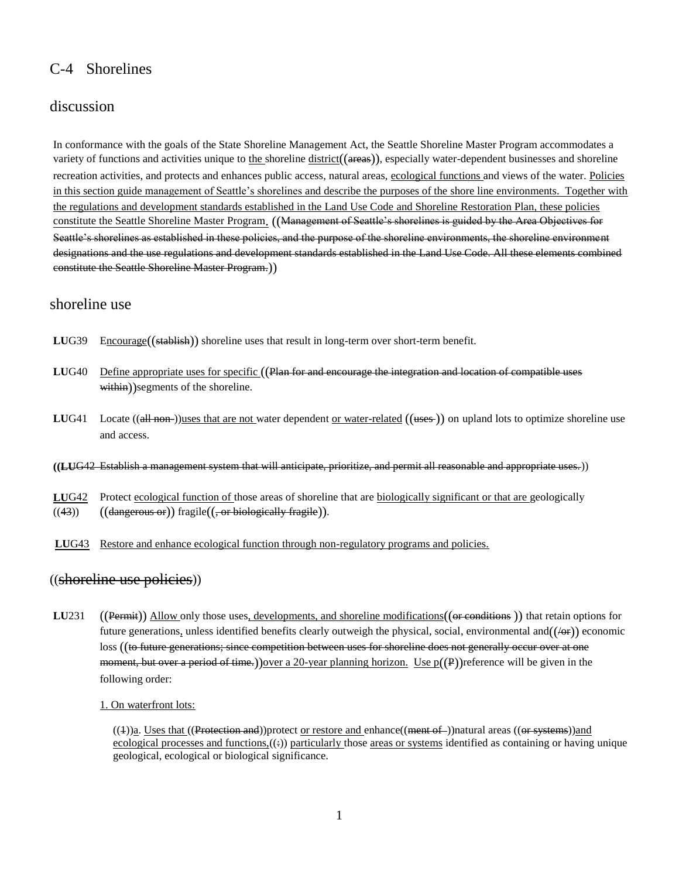# C-4 Shorelines

## discussion

In conformance with the goals of the State Shoreline Management Act, the Seattle Shoreline Master Program accommodates a variety of functions and activities unique to the shoreline  $distinct((\alpha + \epsilon)\epsilon)$ , especially water-dependent businesses and shoreline recreation activities, and protects and enhances public access, natural areas, ecological functions and views of the water. Policies in this section guide management of Seattle's shorelines and describe the purposes of the shore line environments. Together with the regulations and development standards established in the Land Use Code and Shoreline Restoration Plan, these policies constitute the Seattle Shoreline Master Program. ((Management of Seattle's shorelines is guided by the Area Objectives for Seattle"s shorelines as established in these policies, and the purpose of the shoreline environments, the shoreline environment designations and the use regulations and development standards established in the Land Use Code. All these elements combined constitute the Seattle Shoreline Master Program.))

## shoreline use

- LUG39 Encourage((stablish)) shoreline uses that result in long-term over short-term benefit.
- **LU**G40 Define appropriate uses for specific ((Plan for and encourage the integration and location of compatible uses within))segments of the shoreline.
- **LUG41** Locate ((all non-))uses that are not water dependent or water-related ((uses-)) on upland lots to optimize shoreline use and access.
- **((LU**G42 Establish a management system that will anticipate, prioritize, and permit all reasonable and appropriate uses.))
- **LU**G42 Protect ecological function of those areas of shoreline that are biologically significant or that are geologically  $((43))$   $((\text{dangerous or}))$  fragile $((, \text{or biologically fragile})).$
- **LU**G43 Restore and enhance ecological function through non-regulatory programs and policies.

### ((shoreline use policies))

**LU**231 ((Permit)) Allow only those uses, developments, and shoreline modifications((or conditions )) that retain options for future generations, unless identified benefits clearly outweigh the physical, social, environmental and  $((\rightarrow e))$  economic loss ((t<del>o future generations; since competition between uses for shoreline does not generally occur over at one</del> moment, but over a period of time.)) over a 20-year planning horizon. Use  $p(P)$  reference will be given in the following order:

#### 1. On waterfront lots:

((4))a. Uses that ((Protection and))protect or restore and enhance((ment of ))natural areas ((or systems))and ecological processes and functions, $((*)$  particularly those areas or systems identified as containing or having unique geological, ecological or biological significance.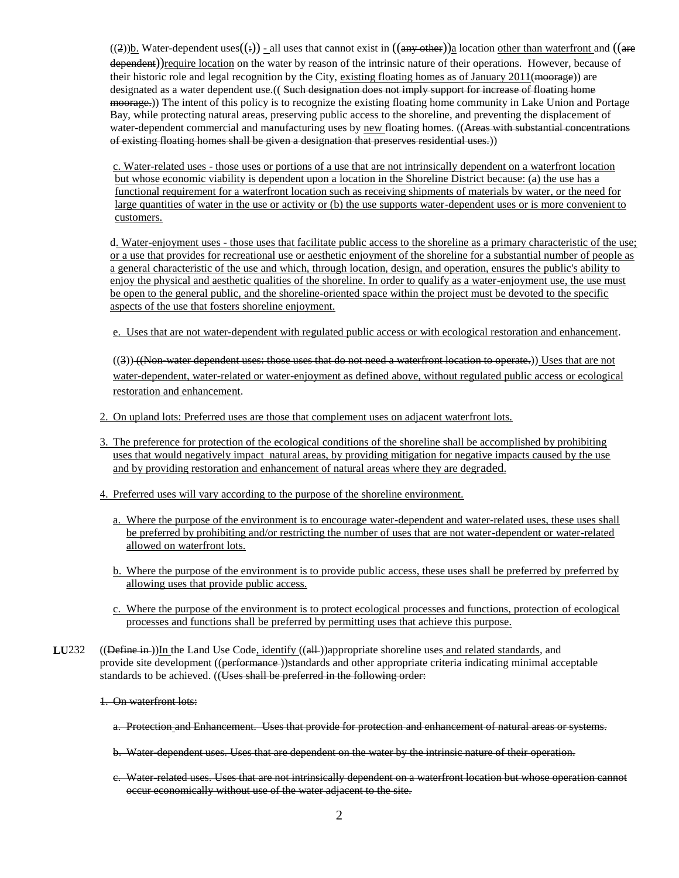$((2))$ <sub>b.</sub> Water-dependent uses $((\frac{1}{2}))$  - all uses that cannot exist in  $((a_{n} + b_{n})$  location other than waterfront and  $((a_{n} + b_{n})$ dependent))require location on the water by reason of the intrinsic nature of their operations. However, because of their historic role and legal recognition by the City, existing floating homes as of January 2011(moorage)) are designated as a water dependent use.((Such designation does not imply support for increase of floating home moorage.)) The intent of this policy is to recognize the existing floating home community in Lake Union and Portage Bay, while protecting natural areas, preserving public access to the shoreline, and preventing the displacement of water-dependent commercial and manufacturing uses by new floating homes. ((Areas with substantial concentrations of existing floating homes shall be given a designation that preserves residential uses.))

c. Water-related uses - those uses or portions of a use that are not intrinsically dependent on a waterfront location but whose economic viability is dependent upon a location in the Shoreline District because: (a) the use has a functional requirement for a waterfront location such as receiving shipments of materials by water, or the need for large quantities of water in the use or activity or (b) the use supports water-dependent uses or is more convenient to customers.

d. Water-enjoyment uses - those uses that facilitate public access to the shoreline as a primary characteristic of the use; or a use that provides for recreational use or aesthetic enjoyment of the shoreline for a substantial number of people as a general characteristic of the use and which, through location, design, and operation, ensures the public's ability to enjoy the physical and aesthetic qualities of the shoreline. In order to qualify as a water-enjoyment use, the use must be open to the general public, and the shoreline-oriented space within the project must be devoted to the specific aspects of the use that fosters shoreline enjoyment.

e. Uses that are not water-dependent with regulated public access or with ecological restoration and enhancement.

((3)) ((Non-water dependent uses: those uses that do not need a waterfront location to operate.)) Uses that are not water-dependent, water-related or water-enjoyment as defined above, without regulated public access or ecological restoration and enhancement.

- 2. On upland lots: Preferred uses are those that complement uses on adjacent waterfront lots.
- 3. The preference for protection of the ecological conditions of the shoreline shall be accomplished by prohibiting uses that would negatively impact natural areas, by providing mitigation for negative impacts caused by the use and by providing restoration and enhancement of natural areas where they are degraded.
- 4. Preferred uses will vary according to the purpose of the shoreline environment.
	- a. Where the purpose of the environment is to encourage water-dependent and water-related uses, these uses shall be preferred by prohibiting and/or restricting the number of uses that are not water-dependent or water-related allowed on waterfront lots.
	- b. Where the purpose of the environment is to provide public access, these uses shall be preferred by preferred by allowing uses that provide public access.
	- c. Where the purpose of the environment is to protect ecological processes and functions, protection of ecological processes and functions shall be preferred by permitting uses that achieve this purpose.
- **LU**232 ((Define in ))In the Land Use Code, identify ((all ))appropriate shoreline uses and related standards, and provide site development ((performance-))standards and other appropriate criteria indicating minimal acceptable standards to be achieved. ((Uses shall be preferred in the following order:
	- 1. On waterfront lots:
		- a. Protection and Enhancement. Uses that provide for protection and enhancement of natural areas or systems.
		- b. Water-dependent uses. Uses that are dependent on the water by the intrinsic nature of their operation.
		- c. Water-related uses. Uses that are not intrinsically dependent on a waterfront location but whose operation cannot occur economically without use of the water adjacent to the site.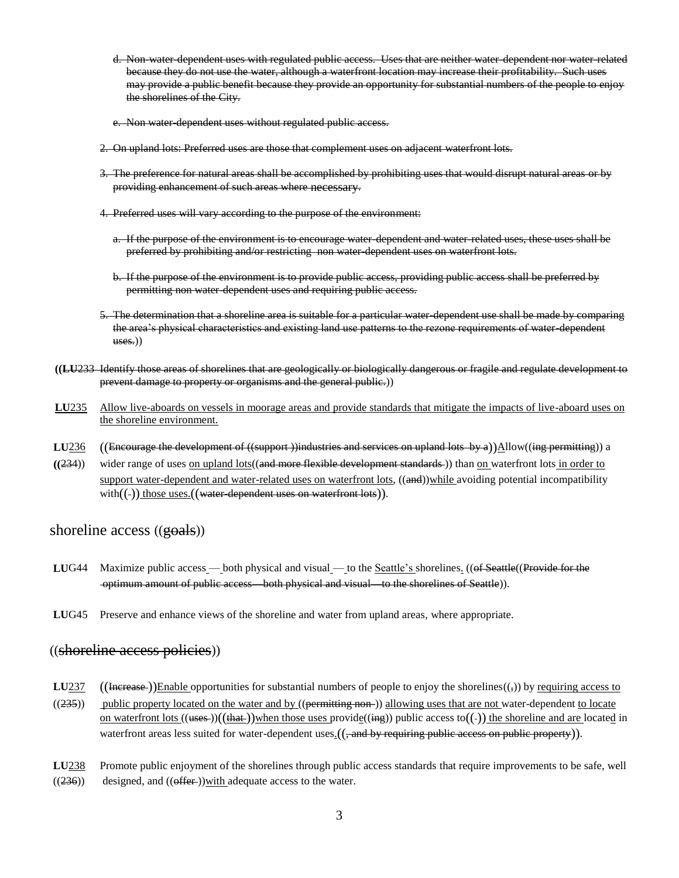d. Non-water-dependent uses with regulated public access. Uses that are neither water-dependent nor water-related because they do not use the water, although a waterfront location may increase their profitability. Such uses may provide a public benefit because they provide an opportunity for substantial numbers of the people to enjoy the shorelines of the City.

e. Non water dependent uses without regulated public access.

- 2. On upland lots: Preferred uses are those that complement uses on adjacent waterfront lots.
- 3. The preference for natural areas shall be accomplished by prohibiting uses that would disrupt natural areas or by providing enhancement of such areas where necessary.
- 4. Preferred uses will vary according to the purpose of the environment:
	- a. If the purpose of the environment is to encourage water-dependent and water-related uses, these uses shall be preferred by prohibiting and/or restricting non water-dependent uses on waterfront lots.
	- b. If the purpose of the environment is to provide public access, providing public access shall be preferred by permitting non water-dependent uses and requiring public access.
- 5. The determination that a shoreline area is suitable for a particular water-dependent use shall be made by comparing the area's physical characteristics and existing land use patterns to the rezone requirements of water-dependent uses.))
- **((LU**233 Identify those areas of shorelines that are geologically or biologically dangerous or fragile and regulate development to prevent damage to property or organisms and the general public.))
- **LU**235 Allow live-aboards on vessels in moorage areas and provide standards that mitigate the impacts of live-aboard uses on the shoreline environment.
- **LU236** ((Encourage the development of ((support))industries and services on upland lots by a))Allow((ing permitting)) a
- **((**234)) wider range of uses on upland lots((and more flexible development standards )) than on waterfront lots in order to support water-dependent and water-related uses on waterfront lots,  $((\text{and}))$ while avoiding potential incompatibility with $((-)$  those uses. $(($  water-dependent uses on waterfront lots)).

### shoreline access  $((\frac{\text{ecals}}{\text{ecals}}))$

- LUG44 Maximize public access both physical and visual to the <u>Seattle's</u> shorelines. ((of Seattle((Provide for the optimum amount of public access—both physical and visual—to the shorelines of Seattle)).
- **LU**G45 Preserve and enhance views of the shoreline and water from upland areas, where appropriate.

#### ((shoreline access policies))

- **LU**237 ((Increase ))Enable opportunities for substantial numbers of people to enjoy the shorelines( $(\cdot, \cdot)$ ) by <u>requiring access to</u>
- $((235))$  public property located on the water and by  $((permitting non-)$ ) allowing uses that are not water-dependent to locate on waterfront lots  $((\text{uses}))((\text{that}))$  when those uses provide $((\text{ing}))$  public access to $((-))$  the shoreline and are located in waterfront areas less suited for water-dependent uses $\frac{1}{2}$  (, and by requiring public access on public property)).
- **LU**238 Promote public enjoyment of the shorelines through public access standards that require improvements to be safe, well  $((236))$  designed, and  $((offer))$  with adequate access to the water.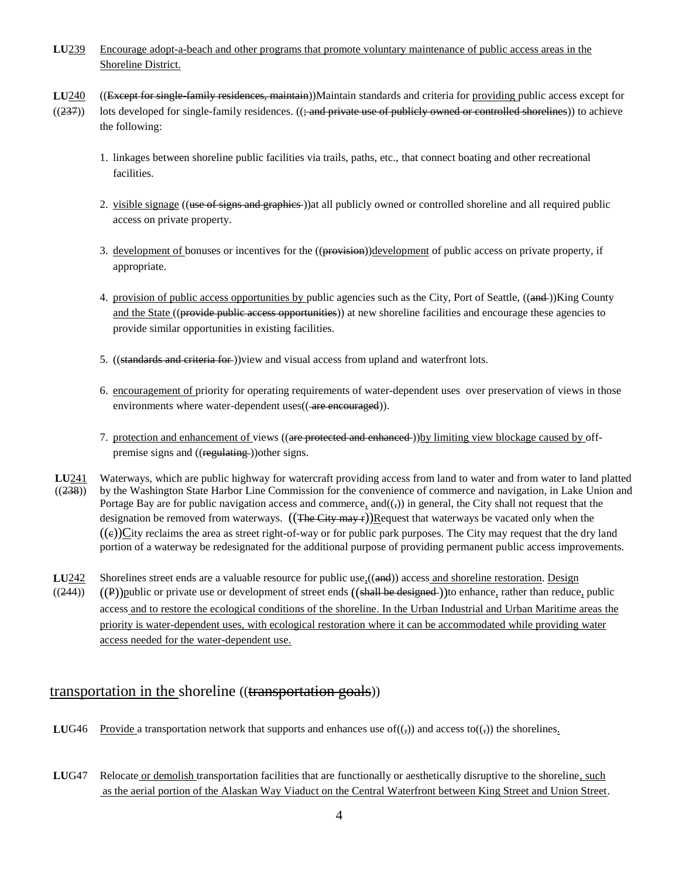- **LU**239 Encourage adopt-a-beach and other programs that promote voluntary maintenance of public access areas in the Shoreline District.
- **LU**240 ((Except for single-family residences, maintain))Maintain standards and criteria for providing public access except for
- $((237))$  lots developed for single-family residences.  $((\frac{1}{2})$  and private use of publicly owned or controlled shorelines)) to achieve the following:
	- 1. linkages between shoreline public facilities via trails, paths, etc., that connect boating and other recreational facilities.
	- 2. visible signage ((use of signs and graphies)) at all publicly owned or controlled shoreline and all required public access on private property.
	- 3. development of bonuses or incentives for the ((provision))development of public access on private property, if appropriate.
	- 4. provision of public access opportunities by public agencies such as the City, Port of Seattle, ((and ))King County and the State ((provide public access opportunities)) at new shoreline facilities and encourage these agencies to provide similar opportunities in existing facilities.
	- 5. ((standards and criteria for-))view and visual access from upland and waterfront lots.
	- 6. encouragement of priority for operating requirements of water-dependent uses over preservation of views in those environments where water-dependent uses((-are encouraged)).
	- 7. protection and enhancement of views ((are protected and enhanced-))by limiting view blockage caused by offpremise signs and ((regulating )) other signs.
- **LU**241 Waterways, which are public highway for watercraft providing access from land to water and from water to land platted  $((238))$  by the Washington State Harbor Line Commission for the convenience of commerce and navigation, in Lake Union and Portage Bay are for public navigation access and commerce, and( $(\frac{1}{2})$ ) in general, the City shall not request that the designation be removed from waterways.  $((\text{The City may r}))$ Request that waterways be vacated only when the  $((e))$ City reclaims the area as street right-of-way or for public park purposes. The City may request that the dry land portion of a waterway be redesignated for the additional purpose of providing permanent public access improvements.
- LU<sub>242</sub> Shorelines street ends are a valuable resource for public use<sub>1</sub>((and)) access and shoreline restoration. Design  $((244))$  ((P))public or private use or development of street ends ((shall be designed))to enhance, rather than reduce, public access and to restore the ecological conditions of the shoreline. In the Urban Industrial and Urban Maritime areas the priority is water-dependent uses, with ecological restoration where it can be accommodated while providing water access needed for the water-dependent use.

# transportation in the shoreline ((transportation goals))

- **LUG46** Provide a transportation network that supports and enhances use of( $\cdot$ ) and access to( $\cdot$ )) the shorelines.
- **LU**G47 Relocate or demolish transportation facilities that are functionally or aesthetically disruptive to the shoreline, such as the aerial portion of the Alaskan Way Viaduct on the Central Waterfront between King Street and Union Street.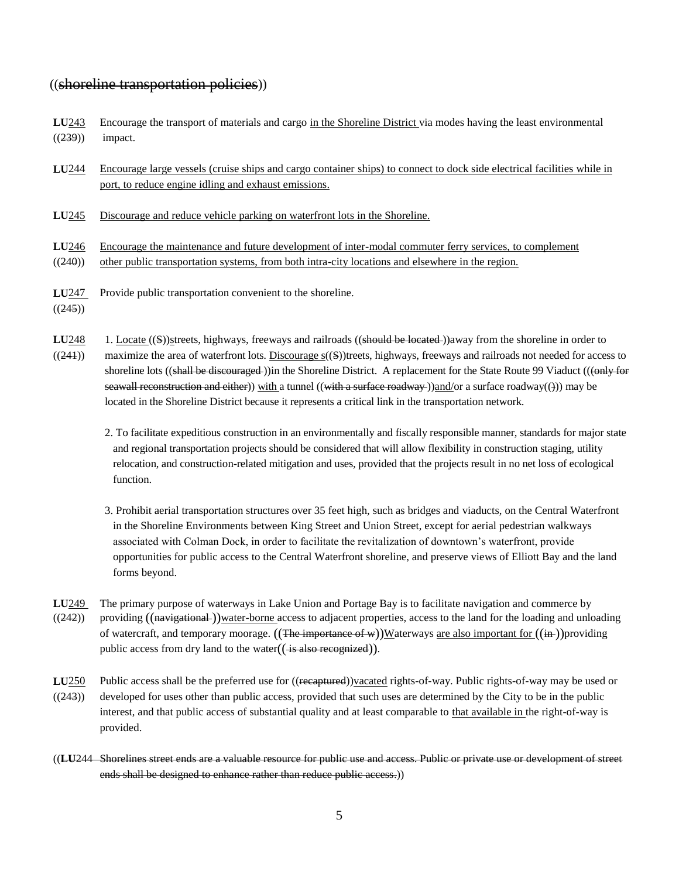### ((shoreline transportation policies))

- **LU**243 Encourage the transport of materials and cargo in the Shoreline District via modes having the least environmental  $((239))$  impact.
- **LU**244 Encourage large vessels (cruise ships and cargo container ships) to connect to dock side electrical facilities while in port, to reduce engine idling and exhaust emissions.
- **LU**245 Discourage and reduce vehicle parking on waterfront lots in the Shoreline.
- **LU**246 Encourage the maintenance and future development of inter-modal commuter ferry services, to complement
- $((240))$  other public transportation systems, from both intra-city locations and elsewhere in the region.
- **LU**247 Provide public transportation convenient to the shoreline.
- $((245))$
- LU<sub>248</sub> 1. Locate ((S))streets, highways, freeways and railroads ((should be located))away from the shoreline in order to  $((241))$  maximize the area of waterfront lots. Discourage  $s(\\S)$ )treets, highways, freeways and railroads not needed for access to shoreline lots ((shall be discouraged))in the Shoreline District. A replacement for the State Route 99 Viaduct (((only for seawall reconstruction and either)) with a tunnel ((with a surface roadway))and/or a surface roadway( $(i)$ ) may be located in the Shoreline District because it represents a critical link in the transportation network.
	- 2. To facilitate expeditious construction in an environmentally and fiscally responsible manner, standards for major state and regional transportation projects should be considered that will allow flexibility in construction staging, utility relocation, and construction-related mitigation and uses, provided that the projects result in no net loss of ecological function.
	- 3. Prohibit aerial transportation structures over 35 feet high, such as bridges and viaducts, on the Central Waterfront in the Shoreline Environments between King Street and Union Street, except for aerial pedestrian walkways associated with Colman Dock, in order to facilitate the revitalization of downtown"s waterfront, provide opportunities for public access to the Central Waterfront shoreline, and preserve views of Elliott Bay and the land forms beyond.
- **LU**249 The primary purpose of waterways in Lake Union and Portage Bay is to facilitate navigation and commerce by  $((242))$  providing  $((\overline{\text{having}}\text{)}\text{)water-borne access to adjacent properties, access to the land for the loading and unloading})$ of watercraft, and temporary moorage.  $((The *importance* of *w*))W$  at *envectors* are also important for  $((in))$  providingpublic access from dry land to the water $((\frac{1}{18} \text{ also recognized})).$
- LU<sub>250</sub> Public access shall be the preferred use for ((recaptured))vacated rights-of-way. Public rights-of-way may be used or  $((243))$  developed for uses other than public access, provided that such uses are determined by the City to be in the public interest, and that public access of substantial quality and at least comparable to that available in the right-of-way is provided.
- ((**LU**244 Shorelines street ends are a valuable resource for public use and access. Public or private use or development of street ends shall be designed to enhance rather than reduce public access.))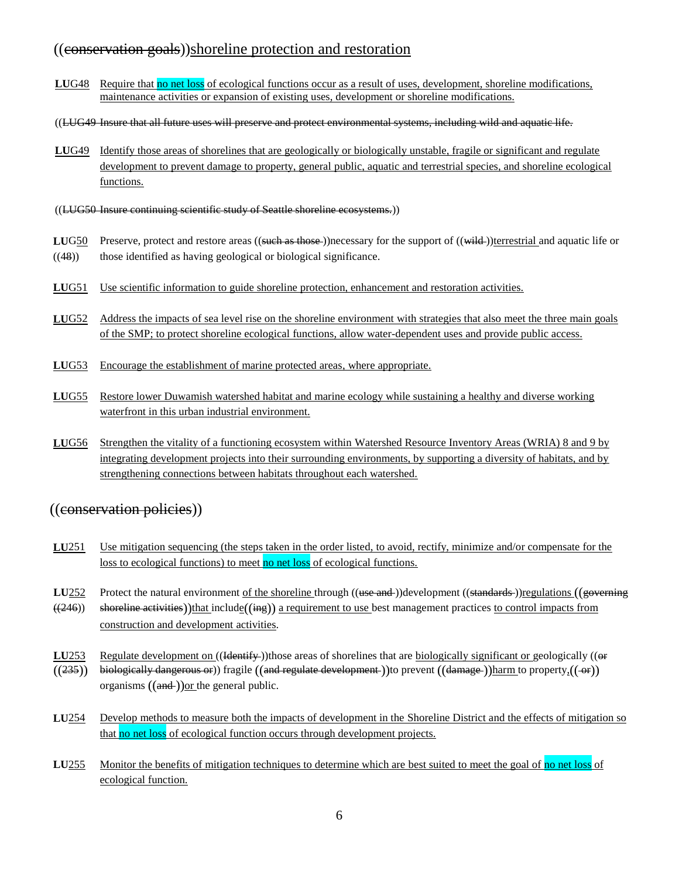# ((conservation goals))shoreline protection and restoration

- LUG48 Require that no net loss of ecological functions occur as a result of uses, development, shoreline modifications, maintenance activities or expansion of existing uses, development or shoreline modifications.
- ((LUG49 Insure that all future uses will preserve and protect environmental systems, including wild and aquatic life.
- **LU**G49 Identify those areas of shorelines that are geologically or biologically unstable, fragile or significant and regulate development to prevent damage to property, general public, aquatic and terrestrial species, and shoreline ecological functions.
- ((LUG50 Insure continuing scientific study of Seattle shoreline ecosystems.))
- LUG50 Preserve, protect and restore areas ((such as those))necessary for the support of ((wild ))terrestrial and aquatic life or  $((48))$  those identified as having geological or biological significance.
- LUG51 Use scientific information to guide shoreline protection, enhancement and restoration activities.
- **LU**G52 Address the impacts of sea level rise on the shoreline environment with strategies that also meet the three main goals of the SMP; to protect shoreline ecological functions, allow water-dependent uses and provide public access.
- **LU**G53 Encourage the establishment of marine protected areas, where appropriate.
- **LU**G55 Restore lower Duwamish watershed habitat and marine ecology while sustaining a healthy and diverse working waterfront in this urban industrial environment.
- **LU**G56 Strengthen the vitality of a functioning ecosystem within Watershed Resource Inventory Areas (WRIA) 8 and 9 by integrating development projects into their surrounding environments, by supporting a diversity of habitats, and by strengthening connections between habitats throughout each watershed.

# ((conservation policies))

- LU<sub>251</sub> Use mitigation sequencing (the steps taken in the order listed, to avoid, rectify, minimize and/or compensate for the loss to ecological functions) to meet no net loss of ecological functions.
- **LU**252 Protect the natural environment of the shoreline through ((use and ))development ((standards ))regulations ((governing  $((246))$  shoreline activities))that include $((i_{mg})$  a requirement to use best management practices to control impacts from construction and development activities.
- **LU**253 Regulate development on ((Hentify))those areas of shorelines that are biologically significant or geologically (( $\Theta$ )
- $((235))$  biologically dangerous or)) fragile  $((and$  regulate development))to prevent  $((d\text{amage}-))$ harm to property $((\rightarrow))$ organisms  $((and))$ or the general public.
- LU254 Develop methods to measure both the impacts of development in the Shoreline District and the effects of mitigation so that no net loss of ecological function occurs through development projects.
- LU<sub>255</sub> Monitor the benefits of mitigation techniques to determine which are best suited to meet the goal of no net loss of ecological function.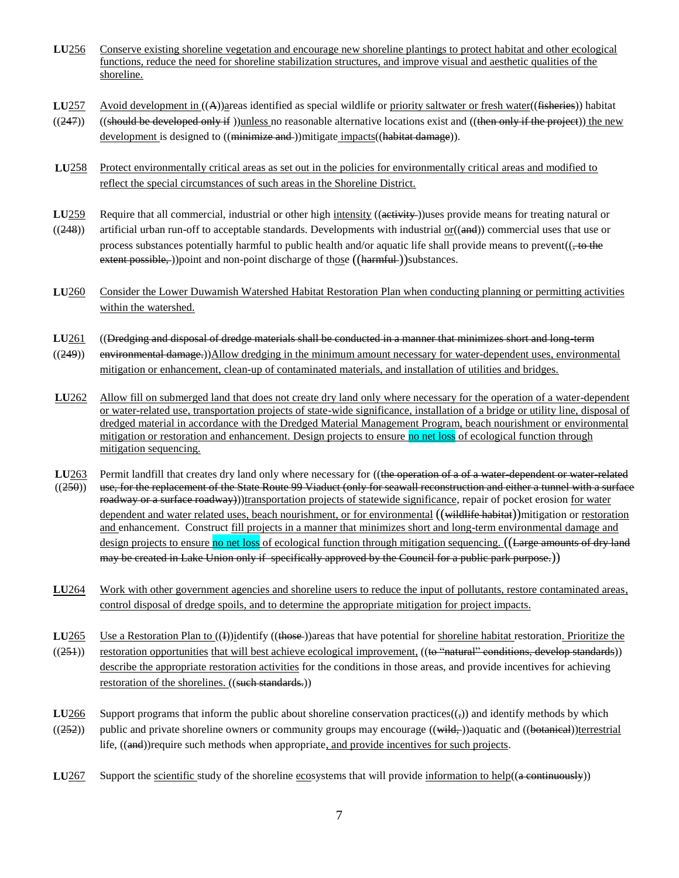- **LU**256 Conserve existing shoreline vegetation and encourage new shoreline plantings to protect habitat and other ecological functions, reduce the need for shoreline stabilization structures, and improve visual and aesthetic qualities of the shoreline.
- LU<sub>257</sub> Avoid development in  $((A))$ areas identified as special wildlife or priority saltwater or fresh water((fisheries)) habitat
- $((247))$  ((should be developed only if ))unless no reasonable alternative locations exist and ((then only if the project)) the new development is designed to ((minimize and ))mitigate impacts((habitat damage)).
- LU258 Protect environmentally critical areas as set out in the policies for environmentally critical areas and modified to reflect the special circumstances of such areas in the Shoreline District.
- **LU<sub>259</sub>** Require that all commercial, industrial or other high intensity ((activity ))uses provide means for treating natural or
- ((248)) artificial urban run-off to acceptable standards. Developments with industrial  $or((\text{and}))$  commercial uses that use or process substances potentially harmful to public health and/or aquatic life shall provide means to prevent(( $\pm$ to the extent possible, )) point and non-point discharge of those ((harmful)) substances.
- **LU**260 Consider the Lower Duwamish Watershed Habitat Restoration Plan when conducting planning or permitting activities within the watershed.
- **LU**261 ((Dredging and disposal of dredge materials shall be conducted in a manner that minimizes short and long-term
- ((249)) environmental damage.))Allow dredging in the minimum amount necessary for water-dependent uses, environmental mitigation or enhancement, clean-up of contaminated materials, and installation of utilities and bridges.
- **LU**262 Allow fill on submerged land that does not create dry land only where necessary for the operation of a water-dependent or water-related use, transportation projects of state-wide significance, installation of a bridge or utility line, disposal of dredged material in accordance with the Dredged Material Management Program, beach nourishment or environmental mitigation or restoration and enhancement. Design projects to ensure no net loss of ecological function through mitigation sequencing.
- **LU**263 Permit landfill that creates dry land only where necessary for ((the operation of a of a water-dependent or water-related ((250)) use, for the replacement of the State Route 99 Viaduct (only for seawall reconstruct use, for the replacement of the State Route 99 Viaduct (only for seawall reconstruction and either a tunnel with a surface roadway or a surface roadway))transportation projects of statewide significance, repair of pocket erosion for water dependent and water related uses, beach nourishment, or for environmental ((wildlife habitat))mitigation or restoration and enhancement. Construct fill projects in a manner that minimizes short and long-term environmental damage and design projects to ensure no net loss of ecological function through mitigation sequencing. ((Large amounts of dry land may be created in Lake Union only if specifically approved by the Council for a public park purpose.))
- LU<sub>264</sub> Work with other government agencies and shoreline users to reduce the input of pollutants, restore contaminated areas, control disposal of dredge spoils, and to determine the appropriate mitigation for project impacts.
- LU265 Use a Restoration Plan to  $((1))$ **identify**  $((\text{those}$ )areas that have potential for shoreline habitat restoration. Prioritize the ((251)) restoration opportunities that will best achieve ecological improvement, ((to "natural" conditions, develop standards)) describe the appropriate restoration activities for the conditions in those areas, and provide incentives for achieving restoration of the shorelines. ((such standards.))
- **LU266** Support programs that inform the public about shoreline conservation practices $((,))$  and identify methods by which  $((252))$  public and private shoreline owners or community groups may encourage  $((\overline{\text{width}}))$  aquatic and  $((\overline{\text{beta}}))$ terrestrial
- **LU**267 Support the scientific study of the shoreline ecosystems that will provide information to help( $(a$  continuously))

life, ((and))require such methods when appropriate, and provide incentives for such projects.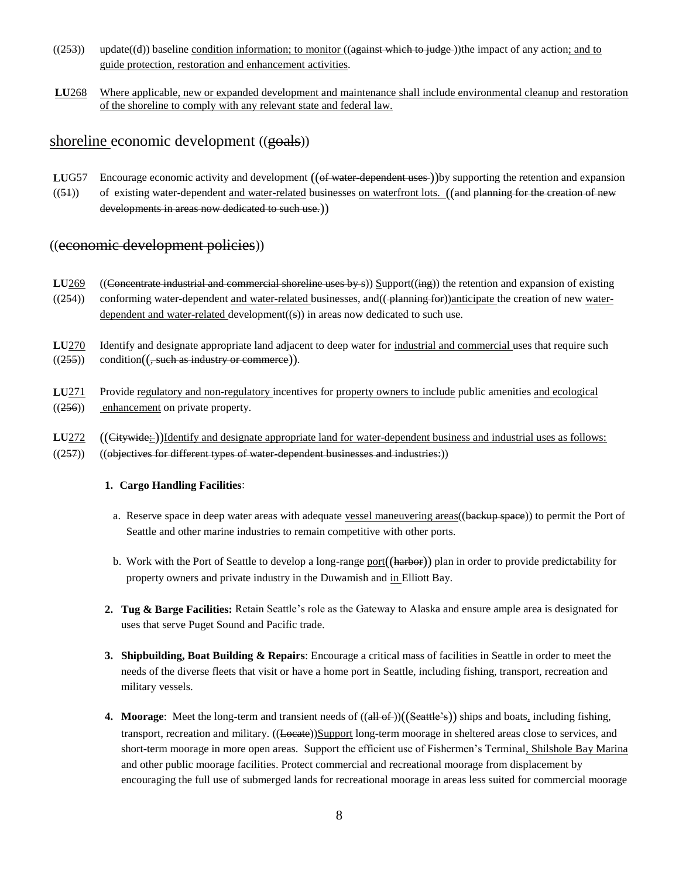- $((253))$  update $((4))$  baseline condition information; to monitor  $((a$ gainst which to judge) the impact of any action; and to guide protection, restoration and enhancement activities.
- **LU**268 Where applicable, new or expanded development and maintenance shall include environmental cleanup and restoration of the shoreline to comply with any relevant state and federal law.

## shoreline economic development ((goals))

- **LUG57** Encourage economic activity and development ((of water-dependent uses-))by supporting the retention and expansion
- $((54))$  of existing water-dependent and water-related businesses on waterfront lots. ((and planning for the creation of new developments in areas now dedicated to such use.))

# ((economic development policies))

- **LU**269 ((Concentrate industrial and commercial shoreline uses by s)) Support((ing)) the retention and expansion of existing  $((254))$  conforming water-dependent and water-related businesses, and  $((\neg$  blanning for))anticipate the creation of new waterdependent and water-related development( $(s)$ ) in areas now dedicated to such use.
- **LU**270 Identify and designate appropriate land adjacent to deep water for industrial and commercial uses that require such  $((255))$  condition( $($ , such as industry or commerce)).
- **LU**271 Provide regulatory and non-regulatory incentives for property owners to include public amenities and ecological  $((256))$  enhancement on private property.
- LU<sub>272</sub> ((Citywide: ))Identify and designate appropriate land for water-dependent business and industrial uses as follows:
- $((257))$   $((objectives for different types of water dependent businesses and industries:))$

#### **1. Cargo Handling Facilities**:

- a. Reserve space in deep water areas with adequate vessel maneuvering areas((backup space)) to permit the Port of Seattle and other marine industries to remain competitive with other ports.
- b. Work with the Port of Seattle to develop a long-range port((harbor)) plan in order to provide predictability for property owners and private industry in the Duwamish and in Elliott Bay.
- **2. Tug & Barge Facilities:** Retain Seattle"s role as the Gateway to Alaska and ensure ample area is designated for uses that serve Puget Sound and Pacific trade.
- **3. Shipbuilding, Boat Building & Repairs**: Encourage a critical mass of facilities in Seattle in order to meet the needs of the diverse fleets that visit or have a home port in Seattle, including fishing, transport, recreation and military vessels.
- **4. Moorage**: Meet the long-term and transient needs of ((all of ))((Seattle's)) ships and boats, including fishing, transport, recreation and military. ((Locate))Support long-term moorage in sheltered areas close to services, and short-term moorage in more open areas. Support the efficient use of Fishermen"s Terminal, Shilshole Bay Marina and other public moorage facilities. Protect commercial and recreational moorage from displacement by encouraging the full use of submerged lands for recreational moorage in areas less suited for commercial moorage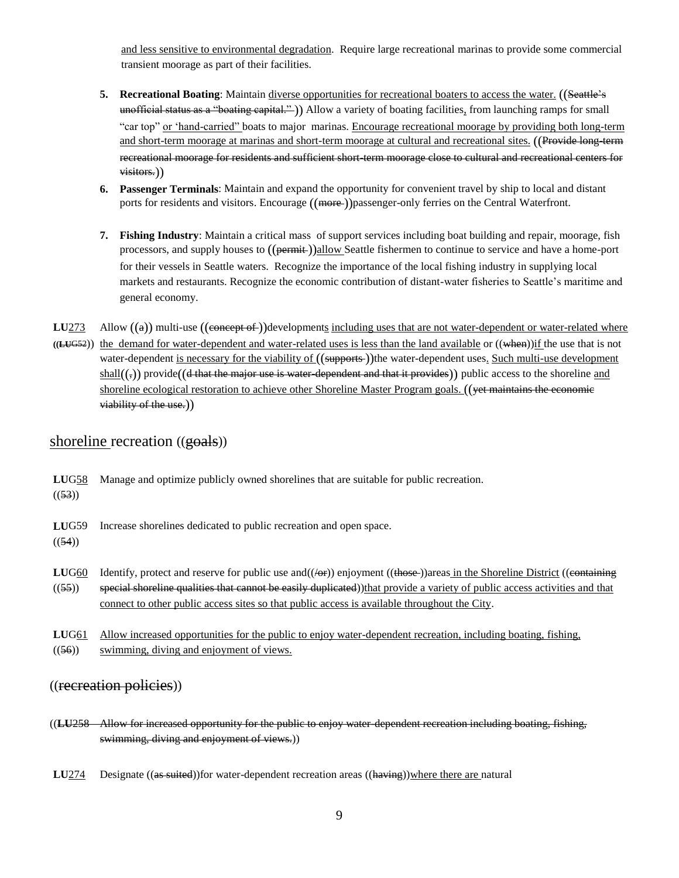and less sensitive to environmental degradation. Require large recreational marinas to provide some commercial transient moorage as part of their facilities.

- **5. Recreational Boating**: Maintain diverse opportunities for recreational boaters to access the water. ((Seattle's unofficial status as a "boating capital." )) Allow a variety of boating facilities, from launching ramps for small "car top" or "hand-carried" boats to major marinas. Encourage recreational moorage by providing both long-term and short-term moorage at marinas and short-term moorage at cultural and recreational sites. ((Provide long-term recreational moorage for residents and sufficient short-term moorage close to cultural and recreational centers for visitors.))
- **6. Passenger Terminals**: Maintain and expand the opportunity for convenient travel by ship to local and distant ports for residents and visitors. Encourage ((more ))passenger-only ferries on the Central Waterfront.
- **7. Fishing Industry**: Maintain a critical mass of support services including boat building and repair, moorage, fish processors, and supply houses to  $((\overline{\text{permit}}))$ allow Seattle fishermen to continue to service and have a home-port for their vessels in Seattle waters. Recognize the importance of the local fishing industry in supplying local markets and restaurants. Recognize the economic contribution of distant-water fisheries to Seattle"s maritime and general economy.

**LU<sub>273</sub>** Allow  $((a))$  multi-use  $((\text{connect})$  developments including uses that are not water-dependent or water-related where **((LU**G52)) the demand for water-dependent and water-related uses is less than the land available or ((when))if the use that is not water-dependent is necessary for the viability of ((supports-))the water-dependent uses. Such multi-use development  $shall((\tau))$  provide((d that the major use is water-dependent and that it provides)) public access to the shoreline and shoreline ecological restoration to achieve other Shoreline Master Program goals. ((yet maintains the economic viability of the use.))

# shoreline recreation ((goals))

| LUG <sub>58</sub><br>((53)) | Manage and optimize publicly owned shorelines that are suitable for public recreation.                                                                                                                                                                                                                                                                                                            |
|-----------------------------|---------------------------------------------------------------------------------------------------------------------------------------------------------------------------------------------------------------------------------------------------------------------------------------------------------------------------------------------------------------------------------------------------|
| LUG <sub>59</sub><br>((54)) | Increase shorelines dedicated to public recreation and open space.                                                                                                                                                                                                                                                                                                                                |
| LUG <sub>60</sub><br>((55)) | Identify, protect and reserve for public use and $((\overline{\Theta}r))$ enjoyment $((\overline{\Theta}r))$ areas in the Shoreline District $((\overline{\Theta}r)$<br>special shoreline qualities that cannot be easily duplicated))that provide a variety of public access activities and that<br>connect to other public access sites so that public access is available throughout the City. |

**LU**G61 Allow increased opportunities for the public to enjoy water-dependent recreation, including boating, fishing, ((56)) swimming, diving and enjoyment of views.

## ((recreation policies))

- ((**LU**258 Allow for increased opportunity for the public to enjoy water-dependent recreation including boating, fishing, swimming, diving and enjoyment of views.)
- **LU<sub>274</sub>** Designate ((as suited))for water-dependent recreation areas ((having))where there are natural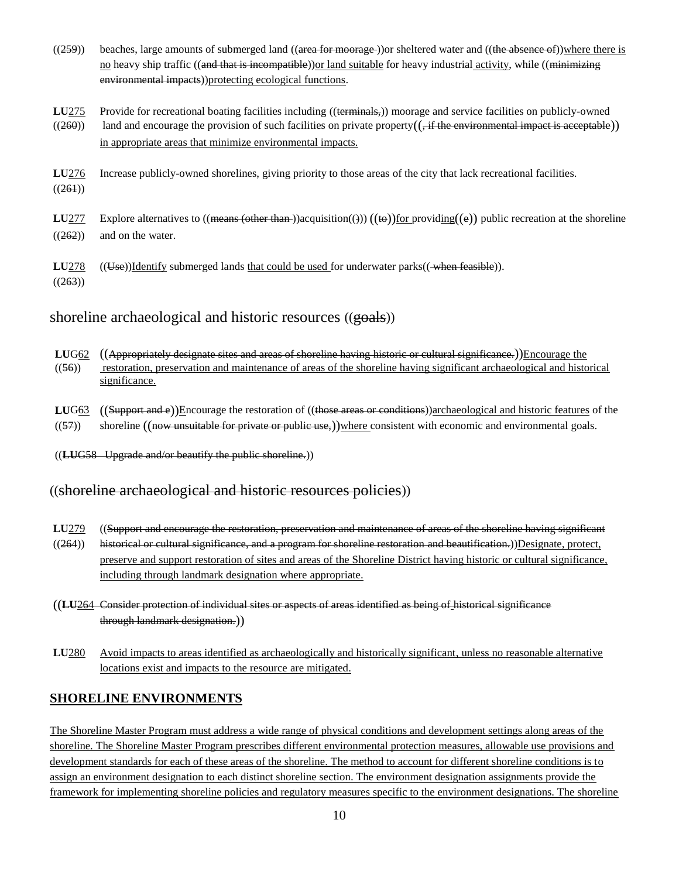- ((259)) beaches, large amounts of submerged land ((area for moorage)) or sheltered water and ((the absence of))where there is no heavy ship traffic ((and that is incompatible)) or land suitable for heavy industrial activity, while ((minimizing environmental impacts))protecting ecological functions.
- LU<sub>275</sub> Provide for recreational boating facilities including ((terminals,)) moorage and service facilities on publicly-owned  $((260))$  land and encourage the provision of such facilities on private property( $($ , if the environmental impact is acceptable)) in appropriate areas that minimize environmental impacts.
- **LU**276 Increase publicly-owned shorelines, giving priority to those areas of the city that lack recreational facilities.  $((261))$
- **LU**277 Explore alternatives to  $(($ <del>means  $($  other than  $)$ </del>)acquisition $(( ) ) (($ **to** $)$ ) for providing $((e))$  public recreation at the shoreline  $((262))$  and on the water.
- **LU**278 ((Use))Identify submerged lands that could be used for underwater parks((when feasible)).  $((263))$

## shoreline archaeological and historic resources ((goals))

- **LUG62** ((Appropriately designate sites and areas of shoreline having historic or cultural significance.))Encourage the  $((56))$  restoration, preservation and maintenance of areas of the shoreline having significant archaeological and historical significance.
- LUG63 ((Support and e))Encourage the restoration of ((those areas or conditions))archaeological and historic features of the  $((57))$  shoreline  $((\text{now unsuitable for private or public use,}))$  where consistent with economic and environmental goals.
- ((**LU**G58 Upgrade and/or beautify the public shoreline.))

# ((shoreline archaeological and historic resources policies))

- LU<sub>279</sub> ((Support and encourage the restoration, preservation and maintenance of areas of the shoreline having significant
- ((264)) historical or cultural significance, and a program for shoreline restoration and beautification.))Designate, protect, preserve and support restoration of sites and areas of the Shoreline District having historic or cultural significance, including through landmark designation where appropriate.
- ((**LU**264 Consider protection of individual sites or aspects of areas identified as being of historical significance through landmark designation.))
- **LU**280 Avoid impacts to areas identified as archaeologically and historically significant, unless no reasonable alternative locations exist and impacts to the resource are mitigated.

## **SHORELINE ENVIRONMENTS**

The Shoreline Master Program must address a wide range of physical conditions and development settings along areas of the shoreline. The Shoreline Master Program prescribes different environmental protection measures, allowable use provisions and development standards for each of these areas of the shoreline. The method to account for different shoreline conditions is to assign an environment designation to each distinct shoreline section. The environment designation assignments provide the framework for implementing shoreline policies and regulatory measures specific to the environment designations. The shoreline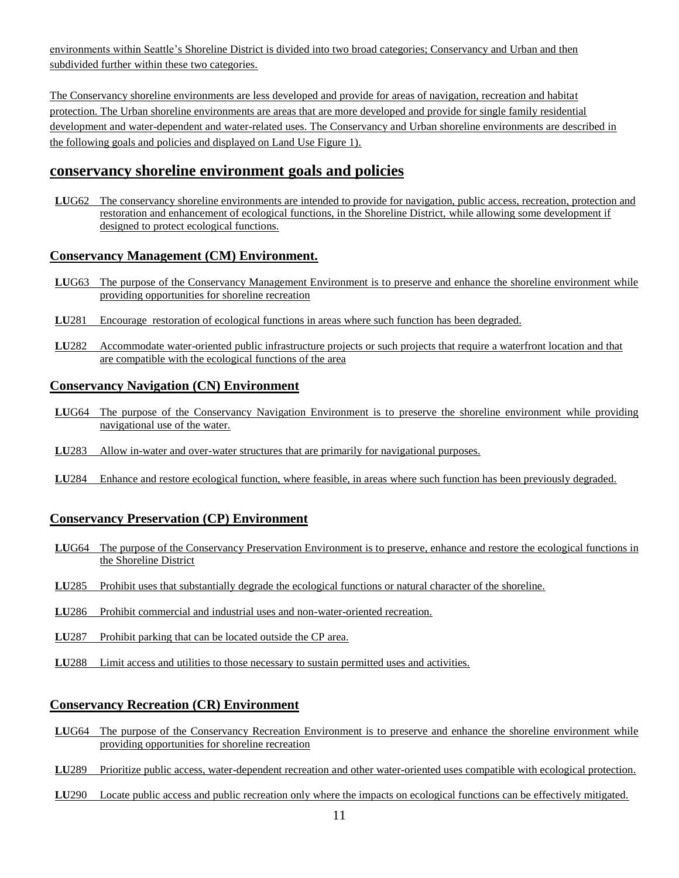environments within Seattle"s Shoreline District is divided into two broad categories; Conservancy and Urban and then subdivided further within these two categories.

The Conservancy shoreline environments are less developed and provide for areas of navigation, recreation and habitat protection. The Urban shoreline environments are areas that are more developed and provide for single family residential development and water-dependent and water-related uses. The Conservancy and Urban shoreline environments are described in the following goals and policies and displayed on Land Use Figure 1).

### **conservancy shoreline environment goals and policies**

**LU**G62 The conservancy shoreline environments are intended to provide for navigation, public access, recreation, protection and restoration and enhancement of ecological functions, in the Shoreline District, while allowing some development if designed to protect ecological functions.

### **Conservancy Management (CM) Environment.**

- **LU**G63 The purpose of the Conservancy Management Environment is to preserve and enhance the shoreline environment while providing opportunities for shoreline recreation
- **LU**281 Encourage restoration of ecological functions in areas where such function has been degraded.
- **LU**282 Accommodate water-oriented public infrastructure projects or such projects that require a waterfront location and that are compatible with the ecological functions of the area

#### **Conservancy Navigation (CN) Environment**

- **LU**G64 The purpose of the Conservancy Navigation Environment is to preserve the shoreline environment while providing navigational use of the water.
- **LU**283 Allow in-water and over-water structures that are primarily for navigational purposes.
- **LU**284 Enhance and restore ecological function, where feasible, in areas where such function has been previously degraded.

### **Conservancy Preservation (CP) Environment**

- **LU**G64 The purpose of the Conservancy Preservation Environment is to preserve, enhance and restore the ecological functions in the Shoreline District
- **LU**285 Prohibit uses that substantially degrade the ecological functions or natural character of the shoreline.
- **LU**286 Prohibit commercial and industrial uses and non-water-oriented recreation.
- **LU**287 Prohibit parking that can be located outside the CP area.
- **LU**288 Limit access and utilities to those necessary to sustain permitted uses and activities.

### **Conservancy Recreation (CR) Environment**

- **LU**G64 The purpose of the Conservancy Recreation Environment is to preserve and enhance the shoreline environment while providing opportunities for shoreline recreation
- **LU**289 Prioritize public access, water-dependent recreation and other water-oriented uses compatible with ecological protection.
- **LU**290 Locate public access and public recreation only where the impacts on ecological functions can be effectively mitigated.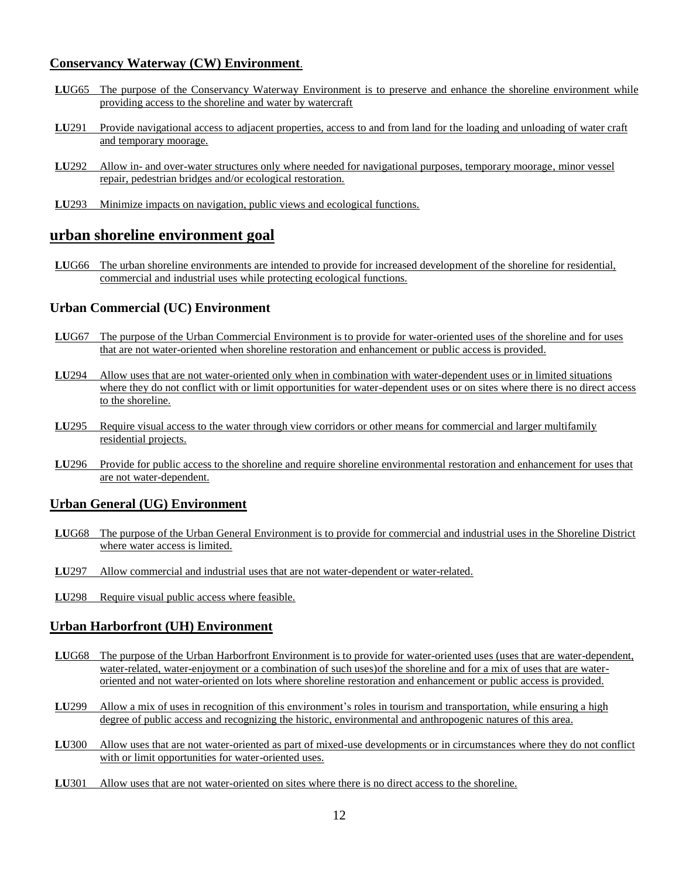#### **Conservancy Waterway (CW) Environment**.

- **LU**G65 The purpose of the Conservancy Waterway Environment is to preserve and enhance the shoreline environment while providing access to the shoreline and water by watercraft
- **LU**291 Provide navigational access to adjacent properties, access to and from land for the loading and unloading of water craft and temporary moorage.
- **LU**292 Allow in- and over-water structures only where needed for navigational purposes, temporary moorage, minor vessel repair, pedestrian bridges and/or ecological restoration.
- **LU**293 Minimize impacts on navigation, public views and ecological functions.

### **urban shoreline environment goal**

**LU**G66 The urban shoreline environments are intended to provide for increased development of the shoreline for residential, commercial and industrial uses while protecting ecological functions.

#### **Urban Commercial (UC) Environment**

- **LU**G67 The purpose of the Urban Commercial Environment is to provide for water-oriented uses of the shoreline and for uses that are not water-oriented when shoreline restoration and enhancement or public access is provided.
- **LU**294 Allow uses that are not water-oriented only when in combination with water-dependent uses or in limited situations where they do not conflict with or limit opportunities for water-dependent uses or on sites where there is no direct access to the shoreline.
- **LU**295 Require visual access to the water through view corridors or other means for commercial and larger multifamily residential projects.
- **LU**296 Provide for public access to the shoreline and require shoreline environmental restoration and enhancement for uses that are not water-dependent.

#### **Urban General (UG) Environment**

- **LU**G68 The purpose of the Urban General Environment is to provide for commercial and industrial uses in the Shoreline District where water access is limited.
- **LU**297 Allow commercial and industrial uses that are not water-dependent or water-related.
- **LU**298 Require visual public access where feasible.

#### **Urban Harborfront (UH) Environment**

- **LU**G68 The purpose of the Urban Harborfront Environment is to provide for water-oriented uses (uses that are water-dependent, water-related, water-enjoyment or a combination of such uses)of the shoreline and for a mix of uses that are wateroriented and not water-oriented on lots where shoreline restoration and enhancement or public access is provided.
- **LU299** Allow a mix of uses in recognition of this environment's roles in tourism and transportation, while ensuring a high degree of public access and recognizing the historic, environmental and anthropogenic natures of this area.
- **LU**300 Allow uses that are not water-oriented as part of mixed-use developments or in circumstances where they do not conflict with or limit opportunities for water-oriented uses.
- **LU**301 Allow uses that are not water-oriented on sites where there is no direct access to the shoreline.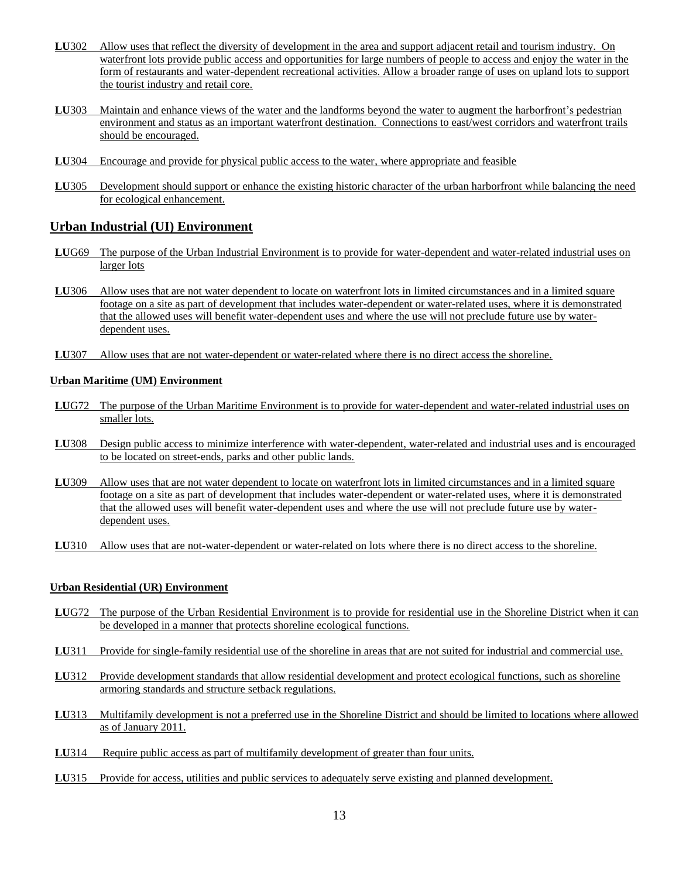- **LU**302 Allow uses that reflect the diversity of development in the area and support adjacent retail and tourism industry. On waterfront lots provide public access and opportunities for large numbers of people to access and enjoy the water in the form of restaurants and water-dependent recreational activities. Allow a broader range of uses on upland lots to support the tourist industry and retail core.
- **LU303** Maintain and enhance views of the water and the landforms beyond the water to augment the harborfront's pedestrian environment and status as an important waterfront destination. Connections to east/west corridors and waterfront trails should be encouraged.
- **LU**304 Encourage and provide for physical public access to the water, where appropriate and feasible
- **LU**305 Development should support or enhance the existing historic character of the urban harborfront while balancing the need for ecological enhancement.

### **Urban Industrial (UI) Environment**

- **LU**G69 The purpose of the Urban Industrial Environment is to provide for water-dependent and water-related industrial uses on larger lots
- LU306 Allow uses that are not water dependent to locate on waterfront lots in limited circumstances and in a limited square footage on a site as part of development that includes water-dependent or water-related uses, where it is demonstrated that the allowed uses will benefit water-dependent uses and where the use will not preclude future use by waterdependent uses.
- **LU**307 Allow uses that are not water-dependent or water-related where there is no direct access the shoreline.

#### **Urban Maritime (UM) Environment**

- **LU**G72 The purpose of the Urban Maritime Environment is to provide for water-dependent and water-related industrial uses on smaller lots.
- **LU**308 Design public access to minimize interference with water-dependent, water-related and industrial uses and is encouraged to be located on street-ends, parks and other public lands.
- **LU**309 Allow uses that are not water dependent to locate on waterfront lots in limited circumstances and in a limited square footage on a site as part of development that includes water-dependent or water-related uses, where it is demonstrated that the allowed uses will benefit water-dependent uses and where the use will not preclude future use by waterdependent uses.
- **LU**310 Allow uses that are not-water-dependent or water-related on lots where there is no direct access to the shoreline.

#### **Urban Residential (UR) Environment**

- **LU**G72 The purpose of the Urban Residential Environment is to provide for residential use in the Shoreline District when it can be developed in a manner that protects shoreline ecological functions.
- **LU**311 Provide for single-family residential use of the shoreline in areas that are not suited for industrial and commercial use.
- **LU**312 Provide development standards that allow residential development and protect ecological functions, such as shoreline armoring standards and structure setback regulations.
- **LU**313 Multifamily development is not a preferred use in the Shoreline District and should be limited to locations where allowed as of January 2011.
- **LU**314 Require public access as part of multifamily development of greater than four units.
- LU315 Provide for access, utilities and public services to adequately serve existing and planned development.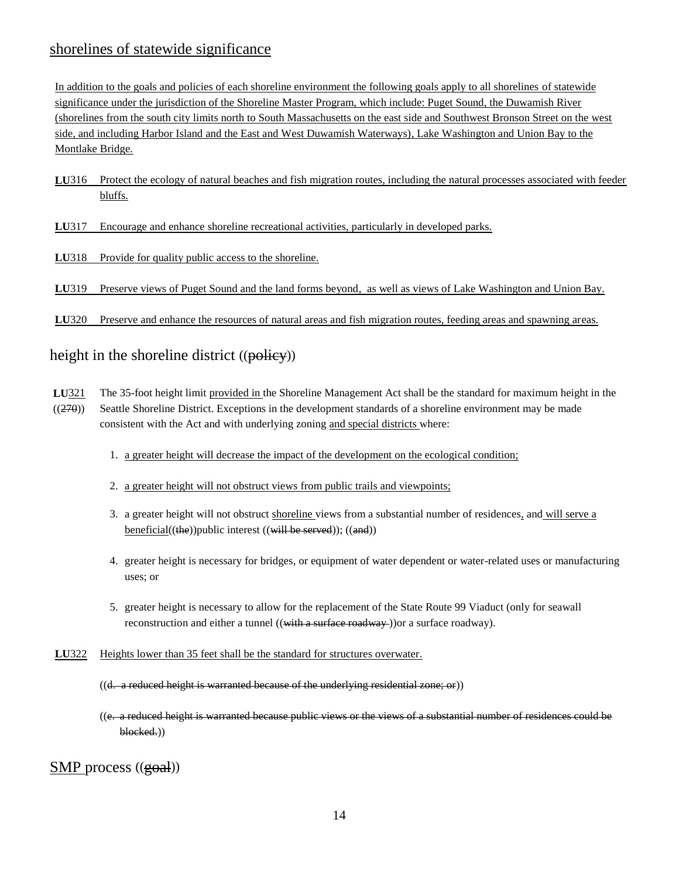# shorelines of statewide significance

In addition to the goals and policies of each shoreline environment the following goals apply to all shorelines of statewide significance under the jurisdiction of the Shoreline Master Program, which include: Puget Sound, the Duwamish River (shorelines from the south city limits north to South Massachusetts on the east side and Southwest Bronson Street on the west side, and including Harbor Island and the East and West Duwamish Waterways), Lake Washington and Union Bay to the Montlake Bridge.

**LU**316 Protect the ecology of natural beaches and fish migration routes, including the natural processes associated with feeder bluffs.

**LU**317 Encourage and enhance shoreline recreational activities, particularly in developed parks.

**LU**318 Provide for quality public access to the shoreline.

**LU**319 Preserve views of Puget Sound and the land forms beyond, as well as views of Lake Washington and Union Bay.

**LU**320 Preserve and enhance the resources of natural areas and fish migration routes, feeding areas and spawning areas.

## height in the shoreline district ((policy))

- **LU**321 The 35-foot height limit provided in the Shoreline Management Act shall be the standard for maximum height in the ((270)) Seattle Shoreline District. Exceptions in the development standards of a shoreline environment may be made consistent with the Act and with underlying zoning and special districts where:
	- 1. a greater height will decrease the impact of the development on the ecological condition;
	- 2. a greater height will not obstruct views from public trails and viewpoints;
	- 3. a greater height will not obstruct shoreline views from a substantial number of residences, and will serve a beneficial((the))public interest ((will be served)); ((and))
	- 4. greater height is necessary for bridges, or equipment of water dependent or water-related uses or manufacturing uses; or
	- 5. greater height is necessary to allow for the replacement of the State Route 99 Viaduct (only for seawall reconstruction and either a tunnel ((with a surface roadway) or a surface roadway).
- **LU**322 Heights lower than 35 feet shall be the standard for structures overwater.
	- $((d. a reduced height is warranted because of the underlying residual zone; or))$
	- ((e. a reduced height is warranted because public views or the views of a substantial number of residences could be blocked.))

SMP process ((goal))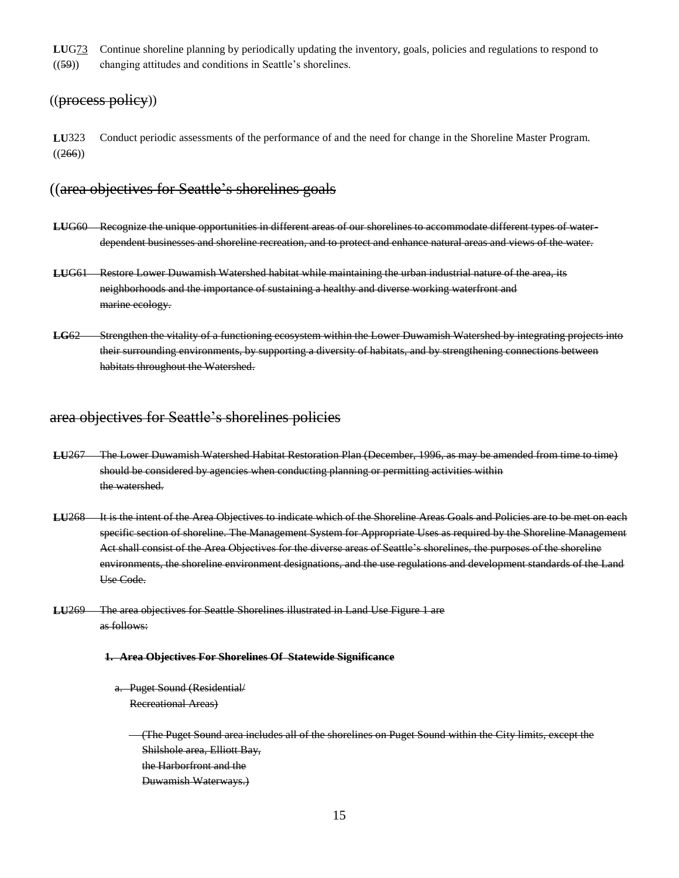**LU**G73 Continue shoreline planning by periodically updating the inventory, goals, policies and regulations to respond to ((59)) changing attitudes and conditions in Seattle"s shorelines.

#### ((process policy))

**LU**323 Conduct periodic assessments of the performance of and the need for change in the Shoreline Master Program.  $((266))$ 

### ((area objectives for Seattle"s shorelines goals

- **LU**G60 Recognize the unique opportunities in different areas of our shorelines to accommodate different types of waterdependent businesses and shoreline recreation, and to protect and enhance natural areas and views of the water.
- **LU**G61 Restore Lower Duwamish Watershed habitat while maintaining the urban industrial nature of the area, its neighborhoods and the importance of sustaining a healthy and diverse working waterfront and marine ecology.
- **LG**62 Strengthen the vitality of a functioning ecosystem within the Lower Duwamish Watershed by integrating projects into their surrounding environments, by supporting a diversity of habitats, and by strengthening connections between habitats throughout the Watershed.

## area objectives for Seattle's shorelines policies

- **LU**267 The Lower Duwamish Watershed Habitat Restoration Plan (December, 1996, as may be amended from time to time) should be considered by agencies when conducting planning or permitting activities within the watershed.
- **LU**268 It is the intent of the Area Objectives to indicate which of the Shoreline Areas Goals and Policies are to be met on each specific section of shoreline. The Management System for Appropriate Uses as required by the Shoreline Management Act shall consist of the Area Objectives for the diverse areas of Seattle's shorelines, the purposes of the shoreline environments, the shoreline environment designations, and the use regulations and development standards of the Land Use Code.
- **LU**269 The area objectives for Seattle Shorelines illustrated in Land Use Figure 1 are as follows:

#### **1. Area Objectives For Shorelines Of Statewide Significance**

- a. Puget Sound (Residential/ Recreational Areas)
	- (The Puget Sound area includes all of the shorelines on Puget Sound within the City limits, except the Shilshole area, Elliott Bay, the Harborfront and the Duwamish Waterways.)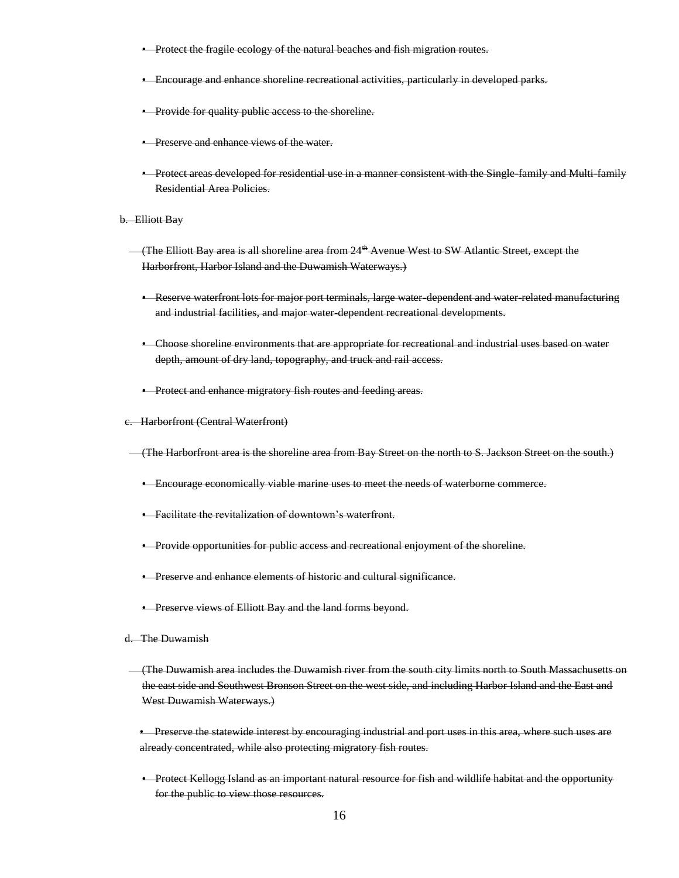- **•** Protect the fragile ecology of the natural beaches and fish migration routes.
- Encourage and enhance shoreline recreational activities, particularly in developed parks.
- **•** Provide for quality public access to the shoreline.
- **•** Preserve and enhance views of the water.
- Protect areas developed for residential use in a manner consistent with the Single-family and Multi-family Residential Area Policies.
- b. Elliott Bay
	- (The Elliott Bay area is all shoreline area from 24th Avenue West to SW Atlantic Street, except the Harborfront, Harbor Island and the Duwamish Waterways.)
		- Reserve waterfront lots for major port terminals, large water dependent and water related manufacturing and industrial facilities, and major water dependent recreational developments.
		- Choose shoreline environments that are appropriate for recreational and industrial uses based on water depth, amount of dry land, topography, and truck and rail access.
		- **•** Protect and enhance migratory fish routes and feeding areas.
- c. Harborfront (Central Waterfront)
- (The Harborfront area is the shoreline area from Bay Street on the north to S. Jackson Street on the south.)
	- Encourage economically viable marine uses to meet the needs of waterborne commerce.
	- Facilitate the revitalization of downtown's waterfront.
	- Provide opportunities for public access and recreational enjoyment of the shoreline.
	- Preserve and enhance elements of historic and cultural significance.
	- **•** Preserve views of Elliott Bay and the land forms beyond.
- d. The Duwamish
	- (The Duwamish area includes the Duwamish river from the south city limits north to South Massachusetts on the east side and Southwest Bronson Street on the west side, and including Harbor Island and the East and West Duwamish Waterways.)
	- Preserve the statewide interest by encouraging industrial and port uses in this area, where such uses are already concentrated, while also protecting migratory fish routes.
	- Protect Kellogg Island as an important natural resource for fish and wildlife habitat and the opportunity for the public to view those resources.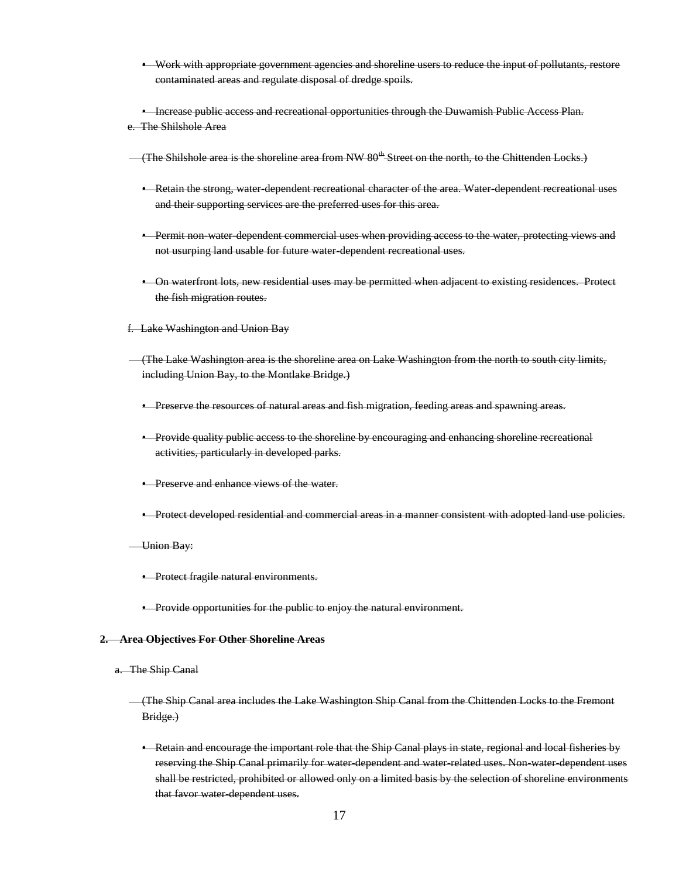- Work with appropriate government agencies and shoreline users to reduce the input of pollutants, restore contaminated areas and regulate disposal of dredge spoils.
- Increase public access and recreational opportunities through the Duwamish Public Access Plan.
- e. The Shilshole Area
- (The Shilshole area is the shoreline area from NW  $80<sup>th</sup>$ -Street on the north, to the Chittenden Locks.)
	- Retain the strong, water-dependent recreational character of the area. Water-dependent recreational uses and their supporting services are the preferred uses for this area.
	- **•** Permit non-water-dependent commercial uses when providing access to the water, protecting views and not usurping land usable for future water-dependent recreational uses.
	- On waterfront lots, new residential uses may be permitted when adjacent to existing residences. Protect the fish migration routes.
- f. Lake Washington and Union Bay
- (The Lake Washington area is the shoreline area on Lake Washington from the north to south city limits, including Union Bay, to the Montlake Bridge.)
	- **•** Preserve the resources of natural areas and fish migration, feeding areas and spawning areas.
	- Provide quality public access to the shoreline by encouraging and enhancing shoreline recreational activities, particularly in developed parks.
	- Preserve and enhance views of the water.
	- Protect developed residential and commercial areas in a manner consistent with adopted land use policies.
- Union Bay:
	- **•** Protect fragile natural environments.
	- **•** Provide opportunities for the public to enjoy the natural environment.

#### **2. Area Objectives For Other Shoreline Areas**

- a. The Ship Canal
	- (The Ship Canal area includes the Lake Washington Ship Canal from the Chittenden Locks to the Fremont Bridge.)
		- Retain and encourage the important role that the Ship Canal plays in state, regional and local fisheries by reserving the Ship Canal primarily for water-dependent and water-related uses. Non-water-dependent uses shall be restricted, prohibited or allowed only on a limited basis by the selection of shoreline environments that favor water dependent uses.